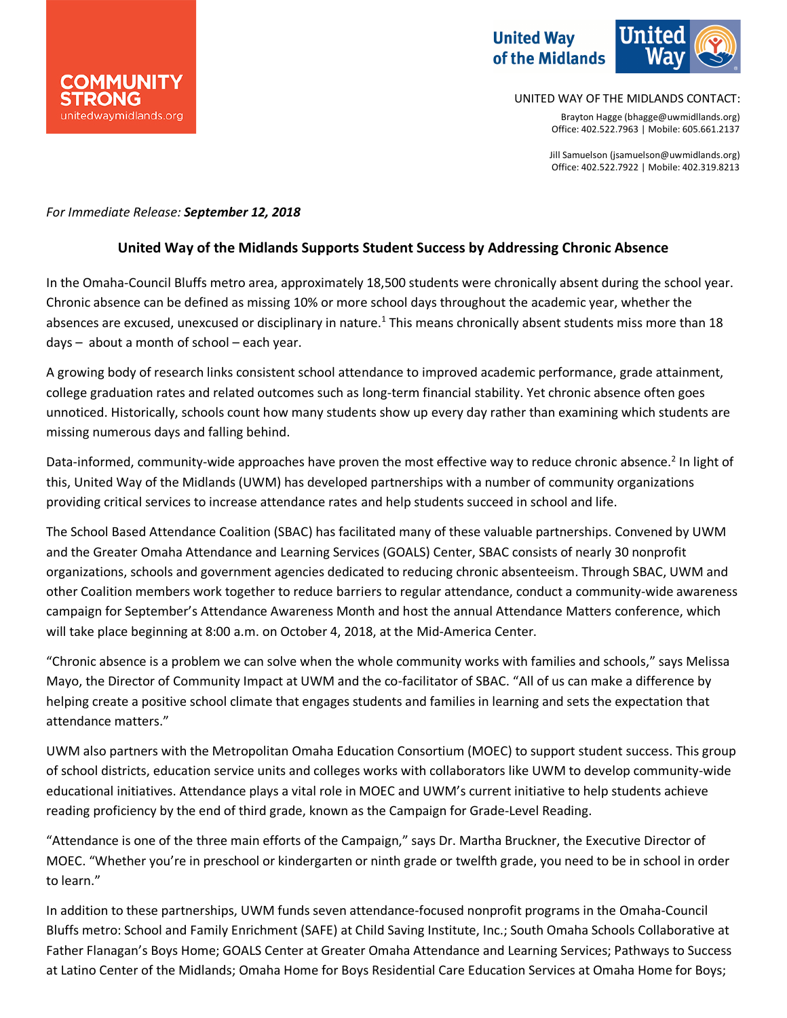# **United Way** of the Midlands



UNITED WAY OF THE MIDLANDS CONTACT:

Brayton Hagge (bhagge@uwmidllands.org) Office: 402.522.7963 | Mobile: 605.661.2137

Jill Samuelson (jsamuelson@uwmidlands.org) Office: 402.522.7922 | Mobile: 402.319.8213

### *For Immediate Release: September 12, 2018*

### **United Way of the Midlands Supports Student Success by Addressing Chronic Absence**

In the Omaha-Council Bluffs metro area, approximately 18,500 students were chronically absent during the school year. Chronic absence can be defined as missing 10% or more school days throughout the academic year, whether the absences are excused, unexcused or disciplinary in nature.<sup>1</sup> This means chronically absent students miss more than 18 days – about a month of school – each year.

A growing body of research links consistent school attendance to improved academic performance, grade attainment, college graduation rates and related outcomes such as long-term financial stability. Yet chronic absence often goes unnoticed. Historically, schools count how many students show up every day rather than examining which students are missing numerous days and falling behind.

Data-informed, community-wide approaches have proven the most effective way to reduce chronic absence.<sup>2</sup> In light of this, United Way of the Midlands (UWM) has developed partnerships with a number of community organizations providing critical services to increase attendance rates and help students succeed in school and life.

The School Based Attendance Coalition (SBAC) has facilitated many of these valuable partnerships. Convened by UWM and the Greater Omaha Attendance and Learning Services (GOALS) Center, SBAC consists of nearly 30 nonprofit organizations, schools and government agencies dedicated to reducing chronic absenteeism. Through SBAC, UWM and other Coalition members work together to reduce barriers to regular attendance, conduct a community-wide awareness campaign for September's Attendance Awareness Month and host the annual Attendance Matters conference, which will take place beginning at 8:00 a.m. on October 4, 2018, at the Mid-America Center.

"Chronic absence is a problem we can solve when the whole community works with families and schools," says Melissa Mayo, the Director of Community Impact at UWM and the co-facilitator of SBAC. "All of us can make a difference by helping create a positive school climate that engages students and families in learning and sets the expectation that attendance matters."

UWM also partners with the Metropolitan Omaha Education Consortium (MOEC) to support student success. This group of school districts, education service units and colleges works with collaborators like UWM to develop community-wide educational initiatives. Attendance plays a vital role in MOEC and UWM's current initiative to help students achieve reading proficiency by the end of third grade, known as the Campaign for Grade-Level Reading.

"Attendance is one of the three main efforts of the Campaign," says Dr. Martha Bruckner, the Executive Director of MOEC. "Whether you're in preschool or kindergarten or ninth grade or twelfth grade, you need to be in school in order to learn."

In addition to these partnerships, UWM funds seven attendance-focused nonprofit programs in the Omaha-Council Bluffs metro: School and Family Enrichment (SAFE) at Child Saving Institute, Inc.; South Omaha Schools Collaborative at Father Flanagan's Boys Home; GOALS Center at Greater Omaha Attendance and Learning Services; Pathways to Success at Latino Center of the Midlands; Omaha Home for Boys Residential Care Education Services at Omaha Home for Boys;